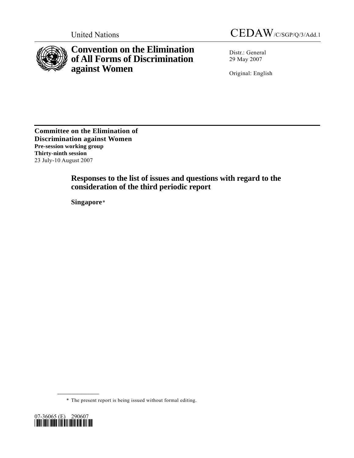

**Convention on the Elimination of All Forms of Discrimination against Women** 

United Nations CEDAW/C/SGP/Q/3/Add.1

Distr.: General 29 May 2007

Original: English

**Committee on the Elimination of Discrimination against Women Pre-session working group Thirty-ninth session**  23 July-10 August 2007

# **Responses to the list of issues and questions with regard to the consideration of the third periodic report**

 **Singapore**[\\*](#page-0-0)

\* The present report is being issued without formal editing.

<span id="page-0-0"></span>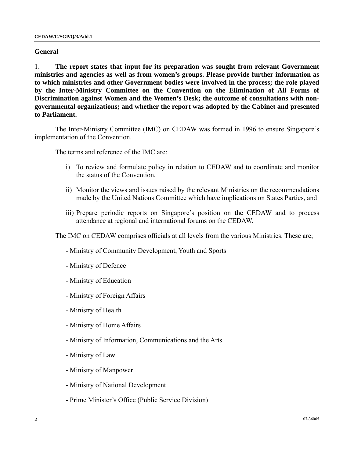#### **General**

1. **The report states that input for its preparation was sought from relevant Government ministries and agencies as well as from women's groups. Please provide further information as to which ministries and other Government bodies were involved in the process; the role played by the Inter-Ministry Committee on the Convention on the Elimination of All Forms of Discrimination against Women and the Women's Desk; the outcome of consultations with nongovernmental organizations; and whether the report was adopted by the Cabinet and presented to Parliament.**

 The Inter-Ministry Committee (IMC) on CEDAW was formed in 1996 to ensure Singapore's implementation of the Convention.

The terms and reference of the IMC are:

- i) To review and formulate policy in relation to CEDAW and to coordinate and monitor the status of the Convention,
- ii) Monitor the views and issues raised by the relevant Ministries on the recommendations made by the United Nations Committee which have implications on States Parties, and
- iii) Prepare periodic reports on Singapore's position on the CEDAW and to process attendance at regional and international forums on the CEDAW.

The IMC on CEDAW comprises officials at all levels from the various Ministries. These are;

- Ministry of Community Development, Youth and Sports
- Ministry of Defence
- Ministry of Education
- Ministry of Foreign Affairs
- Ministry of Health
- Ministry of Home Affairs
- Ministry of Information, Communications and the Arts
- Ministry of Law
- Ministry of Manpower
- Ministry of National Development
- Prime Minister's Office (Public Service Division)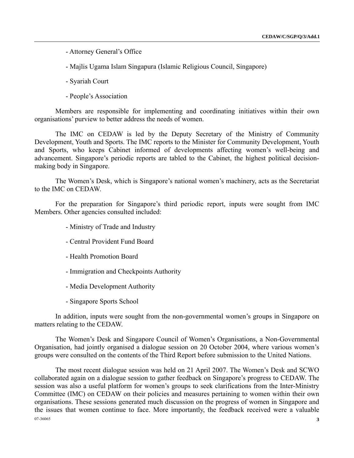- Attorney General's Office
- Majlis Ugama Islam Singapura (Islamic Religious Council, Singapore)
- Syariah Court
- People's Association

 Members are responsible for implementing and coordinating initiatives within their own organisations' purview to better address the needs of women.

 The IMC on CEDAW is led by the Deputy Secretary of the Ministry of Community Development, Youth and Sports. The IMC reports to the Minister for Community Development, Youth and Sports, who keeps Cabinet informed of developments affecting women's well-being and advancement. Singapore's periodic reports are tabled to the Cabinet, the highest political decisionmaking body in Singapore.

 The Women's Desk, which is Singapore's national women's machinery, acts as the Secretariat to the IMC on CEDAW.

 For the preparation for Singapore's third periodic report, inputs were sought from IMC Members. Other agencies consulted included:

- Ministry of Trade and Industry
- Central Provident Fund Board
- Health Promotion Board
- Immigration and Checkpoints Authority
- Media Development Authority
- Singapore Sports School

 In addition, inputs were sought from the non-governmental women's groups in Singapore on matters relating to the CEDAW.

 The Women's Desk and Singapore Council of Women's Organisations, a Non-Governmental Organisation, had jointly organised a dialogue session on 20 October 2004, where various women's groups were consulted on the contents of the Third Report before submission to the United Nations.

07-36065 **3**  The most recent dialogue session was held on 21 April 2007. The Women's Desk and SCWO collaborated again on a dialogue session to gather feedback on Singapore's progress to CEDAW. The session was also a useful platform for women's groups to seek clarifications from the Inter-Ministry Committee (IMC) on CEDAW on their policies and measures pertaining to women within their own organisations. These sessions generated much discussion on the progress of women in Singapore and the issues that women continue to face. More importantly, the feedback received were a valuable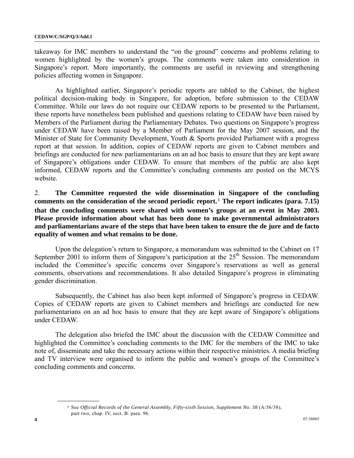takeaway for IMC members to understand the "on the ground" concerns and problems relating to women highlighted by the women's groups. The comments were taken into consideration in Singapore's report. More importantly, the comments are useful in reviewing and strengthening policies affecting women in Singapore.

 As highlighted earlier, Singapore's periodic reports are tabled to the Cabinet, the highest political decision-making body in Singapore, for adoption, before submission to the CEDAW Committee. While our laws do not require our CEDAW reports to be presented to the Parliament, these reports have nonetheless been published and questions relating to CEDAW have been raised by Members of the Parliament during the Parliamentary Debates. Two questions on Singapore's progress under CEDAW have been raised by a Member of Parliament for the May 2007 session, and the Minister of State for Community Development, Youth & Sports provided Parliament with a progress report at that session. In addition, copies of CEDAW reports are given to Cabinet members and briefings are conducted for new parliamentarians on an ad hoc basis to ensure that they are kept aware of Singapore's obligations under CEDAW. To ensure that members of the public are also kept informed, CEDAW reports and the Committee's concluding comments are posted on the MCYS website.

2. **The Committee requested the wide dissemination in Singapore of the concluding comments on the consideration of the second periodic report.**[1](#page-3-0) **The report indicates (para. 7.15) that the concluding comments were shared with women's groups at an event in May 2003. Please provide information about what has been done to make governmental administrators and parliamentarians aware of the steps that have been taken to ensure the de jure and de facto equality of women and what remains to be done.**

 Upon the delegation's return to Singapore, a memorandum was submitted to the Cabinet on 17 September 2001 to inform them of Singapore's participation at the  $25<sup>th</sup>$  Session. The memorandum included the Committee's specific concerns over Singapore's reservations as well as general comments, observations and recommendations. It also detailed Singapore's progress in eliminating gender discrimination.

 Subsequently, the Cabinet has also been kept informed of Singapore's progress in CEDAW. Copies of CEDAW reports are given to Cabinet members and briefings are conducted for new parliamentarians on an ad hoc basis to ensure that they are kept aware of Singapore's obligations under CEDAW.

 The delegation also briefed the IMC about the discussion with the CEDAW Committee and highlighted the Committee's concluding comments to the IMC for the members of the IMC to take note of, disseminate and take the necessary actions within their respective ministries. A media briefing and TV interview were organised to inform the public and women's groups of the Committee's concluding comments and concerns.

<span id="page-3-0"></span><sup>1</sup> See *Official Records of the General Assembly, Fifty-sixth Session, Supplement No. 38* (A/56/38), part two, chap. IV, sect. B. para. 96.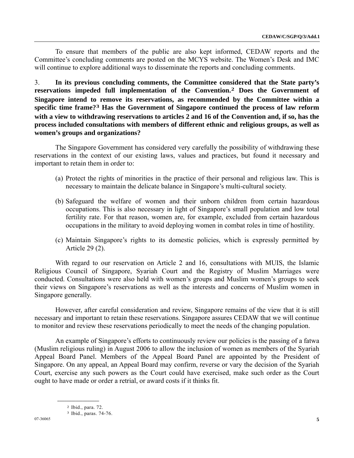To ensure that members of the public are also kept informed, CEDAW reports and the Committee's concluding comments are posted on the MCYS website. The Women's Desk and IMC will continue to explore additional ways to disseminate the reports and concluding comments.

3. **In its previous concluding comments, the Committee considered that the State party's reservations impeded full implementation of the Convention.[2](#page-4-0) Does the Government of Singapore intend to remove its reservations, as recommended by the Committee within a specific time frame?[3](#page-4-1) Has the Government of Singapore continued the process of law reform with a view to withdrawing reservations to articles 2 and 16 of the Convention and, if so, has the process included consultations with members of different ethnic and religious groups, as well as women's groups and organizations?** 

 The Singapore Government has considered very carefully the possibility of withdrawing these reservations in the context of our existing laws, values and practices, but found it necessary and important to retain them in order to:

- (a) Protect the rights of minorities in the practice of their personal and religious law. This is necessary to maintain the delicate balance in Singapore's multi-cultural society.
- (b) Safeguard the welfare of women and their unborn children from certain hazardous occupations. This is also necessary in light of Singapore's small population and low total fertility rate. For that reason, women are, for example, excluded from certain hazardous occupations in the military to avoid deploying women in combat roles in time of hostility.
- (c) Maintain Singapore's rights to its domestic policies, which is expressly permitted by Article 29 (2).

 With regard to our reservation on Article 2 and 16, consultations with MUIS, the Islamic Religious Council of Singapore, Syariah Court and the Registry of Muslim Marriages were conducted. Consultations were also held with women's groups and Muslim women's groups to seek their views on Singapore's reservations as well as the interests and concerns of Muslim women in Singapore generally.

 However, after careful consideration and review, Singapore remains of the view that it is still necessary and important to retain these reservations. Singapore assures CEDAW that we will continue to monitor and review these reservations periodically to meet the needs of the changing population.

 An example of Singapore's efforts to continuously review our policies is the passing of a fatwa (Muslim religious ruling) in August 2006 to allow the inclusion of women as members of the Syariah Appeal Board Panel. Members of the Appeal Board Panel are appointed by the President of Singapore. On any appeal, an Appeal Board may confirm, reverse or vary the decision of the Syariah Court, exercise any such powers as the Court could have exercised, make such order as the Court ought to have made or order a retrial, or award costs if it thinks fit.

<span id="page-4-1"></span><span id="page-4-0"></span><sup>2</sup> Ibid., para. 72.

<sup>3</sup> Ibid., paras. 74-76.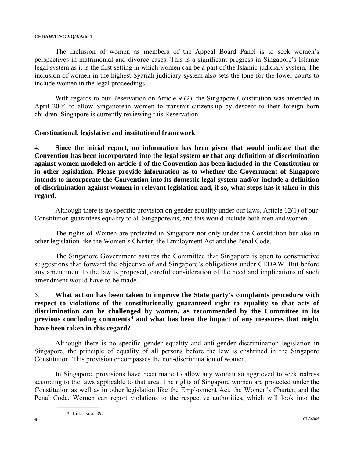#### **CEDAW/C/SGP/Q/3/Add.1**

 The inclusion of women as members of the Appeal Board Panel is to seek women's perspectives in matrimonial and divorce cases. This is a significant progress in Singapore's Islamic legal system as it is the first setting in which women can be a part of the Islamic judiciary system. The inclusion of women in the highest Syariah judiciary system also sets the tone for the lower courts to include women in the legal proceedings.

With regards to our Reservation on Article 9 (2), the Singapore Constitution was amended in April 2004 to allow Singaporean women to transmit citizenship by descent to their foreign born children. Singapore is currently reviewing this Reservation.

### **Constitutional, legislative and institutional framework**

4. **Since the initial report, no information has been given that would indicate that the Convention has been incorporated into the legal system or that any definition of discrimination against women modeled on article 1 of the Convention has been included in the Constitution or in other legislation. Please provide information as to whether the Government of Singapore intends to incorporate the Convention into its domestic legal system and/or include a definition of discrimination against women in relevant legislation and, if so, what steps has it taken in this regard.**

 Although there is no specific provision on gender equality under our laws, Article 12(1) of our Constitution guarantees equality to all Singaporeans, and this would include both men and women.

 The rights of Women are protected in Singapore not only under the Constitution but also in other legislation like the Women's Charter, the Employment Act and the Penal Code.

 The Singapore Government assures the Committee that Singapore is open to constructive suggestions that forward the objective of and Singapore's obligations under CEDAW. But before any amendment to the law is proposed, careful consideration of the need and implications of such amendment would have to be made.

## 5. **What action has been taken to improve the State party's complaints procedure with respect to violations of the constitutionally guaranteed right to equality so that acts of discrimination can be challenged by women, as recommended by the Committee in its previous concluding comments**[4](#page-5-0) **and what has been the impact of any measures that might have been taken in this regard?**

 Although there is no specific gender equality and anti-gender discrimination legislation in Singapore, the principle of equality of all persons before the law is enshrined in the Singapore Constitution. This provision encompasses the non-discrimination of women.

<span id="page-5-0"></span> In Singapore, provisions have been made to allow any woman so aggrieved to seek redress according to the laws applicable to that area. The rights of Singapore women are protected under the Constitution as well as in other legislation like the Employment Act, the Women's Charter, and the Penal Code. Women can report violations to the respective authorities, which will look into the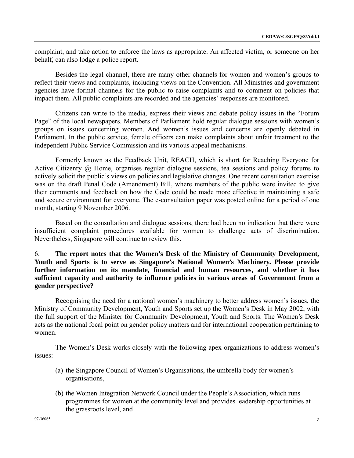complaint, and take action to enforce the laws as appropriate. An affected victim, or someone on her behalf, can also lodge a police report.

 Besides the legal channel, there are many other channels for women and women's groups to reflect their views and complaints, including views on the Convention. All Ministries and government agencies have formal channels for the public to raise complaints and to comment on policies that impact them. All public complaints are recorded and the agencies' responses are monitored.

 Citizens can write to the media, express their views and debate policy issues in the "Forum Page" of the local newspapers. Members of Parliament hold regular dialogue sessions with women's groups on issues concerning women. And women's issues and concerns are openly debated in Parliament. In the public service, female officers can make complaints about unfair treatment to the independent Public Service Commission and its various appeal mechanisms.

 Formerly known as the Feedback Unit, REACH, which is short for Reaching Everyone for Active Citizenry @ Home, organises regular dialogue sessions, tea sessions and policy forums to actively solicit the public's views on policies and legislative changes. One recent consultation exercise was on the draft Penal Code (Amendment) Bill, where members of the public were invited to give their comments and feedback on how the Code could be made more effective in maintaining a safe and secure environment for everyone. The e-consultation paper was posted online for a period of one month, starting 9 November 2006.

 Based on the consultation and dialogue sessions, there had been no indication that there were insufficient complaint procedures available for women to challenge acts of discrimination. Nevertheless, Singapore will continue to review this.

6. **The report notes that the Women's Desk of the Ministry of Community Development, Youth and Sports is to serve as Singapore's National Women's Machinery. Please provide further information on its mandate, financial and human resources, and whether it has sufficient capacity and authority to influence policies in various areas of Government from a gender perspective?** 

 Recognising the need for a national women's machinery to better address women's issues, the Ministry of Community Development, Youth and Sports set up the Women's Desk in May 2002, with the full support of the Minister for Community Development, Youth and Sports. The Women's Desk acts as the national focal point on gender policy matters and for international cooperation pertaining to women.

 The Women's Desk works closely with the following apex organizations to address women's issues:

- (a) the Singapore Council of Women's Organisations, the umbrella body for women's organisations,
- (b) the Women Integration Network Council under the People's Association, which runs programmes for women at the community level and provides leadership opportunities at the grassroots level, and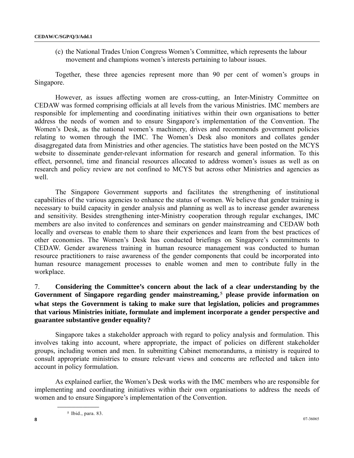(c) the National Trades Union Congress Women's Committee, which represents the labour movement and champions women's interests pertaining to labour issues.

 Together, these three agencies represent more than 90 per cent of women's groups in Singapore.

 However, as issues affecting women are cross-cutting, an Inter-Ministry Committee on CEDAW was formed comprising officials at all levels from the various Ministries. IMC members are responsible for implementing and coordinating initiatives within their own organisations to better address the needs of women and to ensure Singapore's implementation of the Convention. The Women's Desk, as the national women's machinery, drives and recommends government policies relating to women through the IMC. The Women's Desk also monitors and collates gender disaggregated data from Ministries and other agencies. The statistics have been posted on the MCYS website to disseminate gender-relevant information for research and general information. To this effect, personnel, time and financial resources allocated to address women's issues as well as on research and policy review are not confined to MCYS but across other Ministries and agencies as well.

 The Singapore Government supports and facilitates the strengthening of institutional capabilities of the various agencies to enhance the status of women. We believe that gender training is necessary to build capacity in gender analysis and planning as well as to increase gender awareness and sensitivity. Besides strengthening inter-Ministry cooperation through regular exchanges, IMC members are also invited to conferences and seminars on gender mainstreaming and CEDAW both locally and overseas to enable them to share their experiences and learn from the best practices of other economies. The Women's Desk has conducted briefings on Singapore's commitments to CEDAW. Gender awareness training in human resource management was conducted to human resource practitioners to raise awareness of the gender components that could be incorporated into human resource management processes to enable women and men to contribute fully in the workplace.

## 7. **Considering the Committee's concern about the lack of a clear understanding by the Government of Singapore regarding gender mainstreaming,**[5](#page-7-0) **please provide information on what steps the Government is taking to make sure that legislation, policies and programmes that various Ministries initiate, formulate and implement incorporate a gender perspective and guarantee substantive gender equality?**

 Singapore takes a stakeholder approach with regard to policy analysis and formulation. This involves taking into account, where appropriate, the impact of policies on different stakeholder groups, including women and men. In submitting Cabinet memorandums, a ministry is required to consult appropriate ministries to ensure relevant views and concerns are reflected and taken into account in policy formulation.

<span id="page-7-0"></span> As explained earlier, the Women's Desk works with the IMC members who are responsible for implementing and coordinating initiatives within their own organisations to address the needs of women and to ensure Singapore's implementation of the Convention.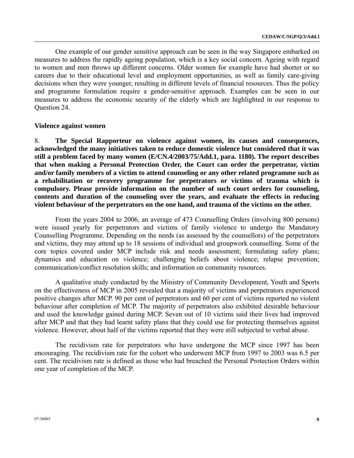One example of our gender sensitive approach can be seen in the way Singapore embarked on measures to address the rapidly ageing population, which is a key social concern. Ageing with regard to women and men throws up different concerns. Older women for example have had shorter or no careers due to their educational level and employment opportunities, as well as family care-giving decisions when they were younger, resulting in different levels of financial resources. Thus the policy and programme formulation require a gender-sensitive approach. Examples can be seen in our measures to address the economic security of the elderly which are highlighted in our response to Question 24.

#### **Violence against women**

8. **The Special Rapporteur on violence against women, its causes and consequences, acknowledged the many initiatives taken to reduce domestic violence but considered that it was still a problem faced by many women (E/CN.4/2003/75/Add.1, para. 1180). The report describes that when making a Personal Protection Order, the Court can order the perpetrator, victim and/or family members of a victim to attend counseling or any other related programme such as a rehabilitation or recovery programme for perpetrators or victims of trauma which is compulsory. Please provide information on the number of such court orders for counseling, contents and duration of the counseling over the years, and evaluate the effects in reducing violent behaviour of the perpetrators on the one hand, and trauma of the victims on the other.** 

 From the years 2004 to 2006, an average of 473 Counselling Orders (involving 800 persons) were issued yearly for perpetrators and victims of family violence to undergo the Mandatory Counselling Programme. Depending on the needs (as assessed by the counsellors) of the perpetrators and victims, they may attend up to 18 sessions of individual and groupwork counselling. Some of the core topics covered under MCP include risk and needs assessment; formulating safety plans; dynamics and education on violence; challenging beliefs about violence; relapse prevention; communication/conflict resolution skills; and information on community resources.

 A qualitative study conducted by the Ministry of Community Development, Youth and Sports on the effectiveness of MCP in 2005 revealed that a majority of victims and perpetrators experienced positive changes after MCP. 90 per cent of perpetrators and 60 per cent of victims reported no violent behaviour after completion of MCP. The majority of perpetrators also exhibited desirable behaviour and used the knowledge gained during MCP. Seven out of 10 victims said their lives had improved after MCP and that they had learnt safety plans that they could use for protecting themselves against violence. However, about half of the victims reported that they were still subjected to verbal abuse.

 The recidivism rate for perpetrators who have undergone the MCP since 1997 has been encouraging. The recidivism rate for the cohort who underwent MCP from 1997 to 2003 was 6.5 per cent. The recidivism rate is defined as those who had breached the Personal Protection Orders within one year of completion of the MCP.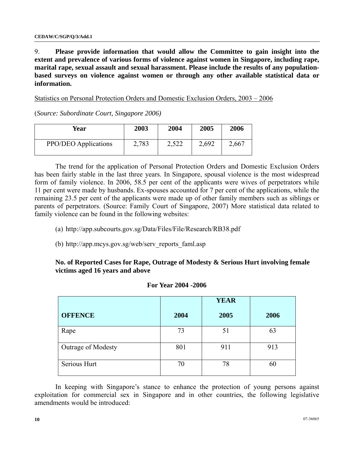9. **Please provide information that would allow the Committee to gain insight into the extent and prevalence of various forms of violence against women in Singapore, including rape, marital rape, sexual assault and sexual harassment. Please include the results of any populationbased surveys on violence against women or through any other available statistical data or information.**

Statistics on Personal Protection Orders and Domestic Exclusion Orders, 2003 – 2006

(*Source: Subordinate Court, Singapore 2006)* 

| Year                        | 2003  | 2004  | 2005  | 2006  |
|-----------------------------|-------|-------|-------|-------|
| <b>PPO/DEO</b> Applications | 2,783 | 2,522 | 2,692 | 2,667 |

 The trend for the application of Personal Protection Orders and Domestic Exclusion Orders has been fairly stable in the last three years. In Singapore, spousal violence is the most widespread form of family violence. In 2006, 58.5 per cent of the applicants were wives of perpetrators while 11 per cent were made by husbands. Ex-spouses accounted for 7 per cent of the applications, while the remaining 23.5 per cent of the applicants were made up of other family members such as siblings or parents of perpetrators. (Source: Family Court of Singapore, 2007) More statistical data related to family violence can be found in the following websites:

- (a) http://app.subcourts.gov.sg/Data/Files/File/Research/RB38.pdf
- (b) http://app.mcys.gov.sg/web/serv\_reports\_faml.asp

## **No. of Reported Cases for Rape, Outrage of Modesty & Serious Hurt involving female victims aged 16 years and above**

|                    |      | <b>YEAR</b> |      |
|--------------------|------|-------------|------|
| <b>OFFENCE</b>     | 2004 | 2005        | 2006 |
| Rape               | 73   | 51          | 63   |
| Outrage of Modesty | 801  | 911         | 913  |
| Serious Hurt       | 70   | 78          | 60   |

#### **For Year 2004 -2006**

 In keeping with Singapore's stance to enhance the protection of young persons against exploitation for commercial sex in Singapore and in other countries, the following legislative amendments would be introduced: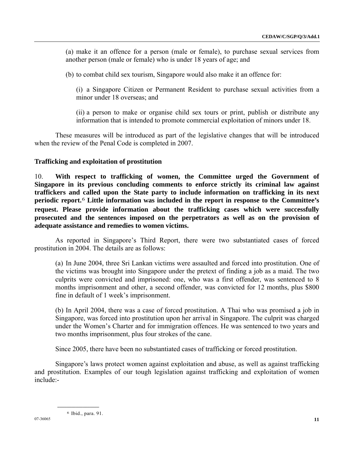(a) make it an offence for a person (male or female), to purchase sexual services from another person (male or female) who is under 18 years of age; and

(b) to combat child sex tourism, Singapore would also make it an offence for:

 (i) a Singapore Citizen or Permanent Resident to purchase sexual activities from a minor under 18 overseas; and

 (ii) a person to make or organise child sex tours or print, publish or distribute any information that is intended to promote commercial exploitation of minors under 18.

 These measures will be introduced as part of the legislative changes that will be introduced when the review of the Penal Code is completed in 2007.

#### **Trafficking and exploitation of prostitution**

10. **With respect to trafficking of women, the Committee urged the Government of Singapore in its previous concluding comments to enforce strictly its criminal law against traffickers and called upon the State party to include information on trafficking in its next periodic report.**[6](#page-10-0) **Little information was included in the report in response to the Committee's request. Please provide information about the trafficking cases which were successfully prosecuted and the sentences imposed on the perpetrators as well as on the provision of adequate assistance and remedies to women victims.** 

 As reported in Singapore's Third Report, there were two substantiated cases of forced prostitution in 2004. The details are as follows:

(a) In June 2004, three Sri Lankan victims were assaulted and forced into prostitution. One of the victims was brought into Singapore under the pretext of finding a job as a maid. The two culprits were convicted and imprisoned: one, who was a first offender, was sentenced to 8 months imprisonment and other, a second offender, was convicted for 12 months, plus \$800 fine in default of 1 week's imprisonment.

(b) In April 2004, there was a case of forced prostitution. A Thai who was promised a job in Singapore, was forced into prostitution upon her arrival in Singapore. The culprit was charged under the Women's Charter and for immigration offences. He was sentenced to two years and two months imprisonment, plus four strokes of the cane.

Since 2005, there have been no substantiated cases of trafficking or forced prostitution.

<span id="page-10-0"></span> Singapore's laws protect women against exploitation and abuse, as well as against trafficking and prostitution. Examples of our tough legislation against trafficking and exploitation of women include:-

6 Ibid., para. 91.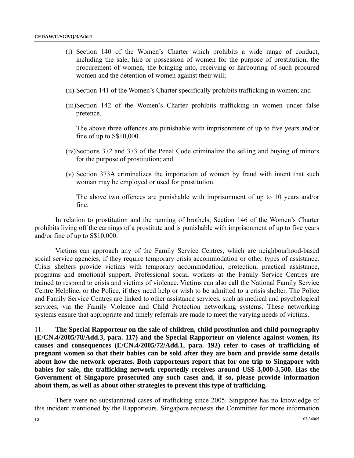- (i) Section 140 of the Women's Charter which prohibits a wide range of conduct, including the sale, hire or possession of women for the purpose of prostitution, the procurement of women, the bringing into, receiving or harbouring of such procured women and the detention of women against their will;
- (ii) Section 141 of the Women's Charter specifically prohibits trafficking in women; and
- (iii)Section 142 of the Women's Charter prohibits trafficking in women under false pretence.

The above three offences are punishable with imprisonment of up to five years and/or fine of up to S\$10,000.

- (iv)Sections 372 and 373 of the Penal Code criminalize the selling and buying of minors for the purpose of prostitution; and
- (v) Section 373A criminalizes the importation of women by fraud with intent that such woman may be employed or used for prostitution.

The above two offences are punishable with imprisonment of up to 10 years and/or fine.

 In relation to prostitution and the running of brothels, Section 146 of the Women's Charter prohibits living off the earnings of a prostitute and is punishable with imprisonment of up to five years and/or fine of up to S\$10,000.

 Victims can approach any of the Family Service Centres, which are neighbourhood-based social service agencies, if they require temporary crisis accommodation or other types of assistance. Crisis shelters provide victims with temporary accommodation, protection, practical assistance, programs and emotional support. Professional social workers at the Family Service Centres are trained to respond to crisis and victims of violence. Victims can also call the National Family Service Centre Helpline, or the Police, if they need help or wish to be admitted to a crisis shelter. The Police and Family Service Centres are linked to other assistance services, such as medical and psychological services, via the Family Violence and Child Protection networking systems. These networking systems ensure that appropriate and timely referrals are made to meet the varying needs of victims.

11. **The Special Rapporteur on the sale of children, child prostitution and child pornography (E/CN.4/2005/78/Add.3, para. 117) and the Special Rapporteur on violence against women, its causes and consequences (E/CN.4/2005/72/Add.1, para. 192) refer to cases of trafficking of pregnant women so that their babies can be sold after they are born and provide some details about how the network operates. Both rapporteurs report that for one trip to Singapore with babies for sale, the trafficking network reportedly receives around US\$ 3,000-3,500. Has the Government of Singapore prosecuted any such cases and, if so, please provide information about them, as well as about other strategies to prevent this type of trafficking.**

 There were no substantiated cases of trafficking since 2005. Singapore has no knowledge of this incident mentioned by the Rapporteurs. Singapore requests the Committee for more information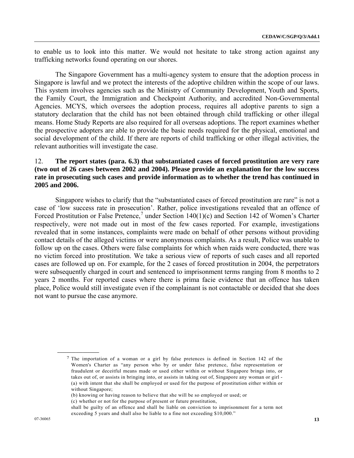to enable us to look into this matter. We would not hesitate to take strong action against any trafficking networks found operating on our shores.

 The Singapore Government has a multi-agency system to ensure that the adoption process in Singapore is lawful and we protect the interests of the adoptive children within the scope of our laws. This system involves agencies such as the Ministry of Community Development, Youth and Sports, the Family Court, the Immigration and Checkpoint Authority, and accredited Non-Governmental Agencies. MCYS, which oversees the adoption process, requires all adoptive parents to sign a statutory declaration that the child has not been obtained through child trafficking or other illegal means. Home Study Reports are also required for all overseas adoptions. The report examines whether the prospective adopters are able to provide the basic needs required for the physical, emotional and social development of the child. If there are reports of child trafficking or other illegal activities, the relevant authorities will investigate the case.

## 12. **The report states (para. 6.3) that substantiated cases of forced prostitution are very rare (two out of 26 cases between 2002 and 2004). Please provide an explanation for the low success rate in prosecuting such cases and provide information as to whether the trend has continued in 2005 and 2006.**

 Singapore wishes to clarify that the "substantiated cases of forced prostitution are rare" is not a case of 'low success rate in prosecution'. Rather, police investigations revealed that an offence of Forced Prostitution or False Pretence,<sup>[7](#page-12-0)</sup> under Section 140(1)(c) and Section 142 of Women's Charter respectively, were not made out in most of the few cases reported. For example, investigations revealed that in some instances, complaints were made on behalf of other persons without providing contact details of the alleged victims or were anonymous complaints. As a result, Police was unable to follow up on the cases. Others were false complaints for which when raids were conducted, there was no victim forced into prostitution. We take a serious view of reports of such cases and all reported cases are followed up on. For example, for the 2 cases of forced prostitution in 2004, the perpetrators were subsequently charged in court and sentenced to imprisonment terms ranging from 8 months to 2 years 2 months. For reported cases where there is prima facie evidence that an offence has taken place, Police would still investigate even if the complainant is not contactable or decided that she does not want to pursue the case anymore.

<span id="page-12-0"></span><sup>7</sup> The importation of a woman or a girl by false pretences is defined in Section 142 of the Women's Charter as "any person who by or under false pretence, false representation or fraudulent or deceitful means made or used either within or without Singapore brings into, or takes out of, or assists in bringing into, or assists in taking out of, Singapore any woman or girl - (a) with intent that she shall be employed or used for the purpose of prostitution either within or without Singapore;

 <sup>(</sup>b) knowing or having reason to believe that she will be so employed or used; or

 <sup>(</sup>c) whether or not for the purpose of present or future prostitution,

shall be guilty of an offence and shall be liable on conviction to imprisonment for a term not exceeding 5 years and shall also be liable to a fine not exceeding \$10,000."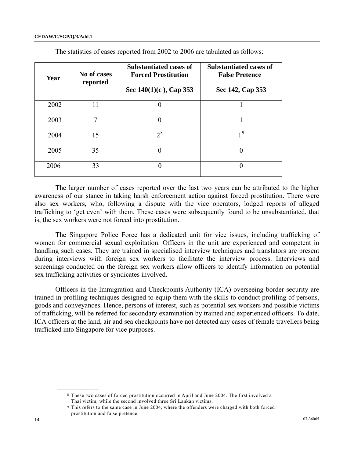#### **CEDAW/C/SGP/Q/3/Add.1**

| Year | No of cases<br>reported | <b>Substantiated cases of</b><br><b>Forced Prostitution</b><br>Sec $140(1)(c)$ , Cap 353 | <b>Substantiated cases of</b><br><b>False Pretence</b><br>Sec 142, Cap 353 |
|------|-------------------------|------------------------------------------------------------------------------------------|----------------------------------------------------------------------------|
| 2002 | 11                      |                                                                                          |                                                                            |
| 2003 | 7                       | 0                                                                                        |                                                                            |
| 2004 | 15                      | $2^8$                                                                                    | 19                                                                         |
| 2005 | 35                      | 0                                                                                        | 0                                                                          |
| 2006 | 33                      |                                                                                          | 0                                                                          |

The statistics of cases reported from 2002 to 2006 are tabulated as follows:

 The larger number of cases reported over the last two years can be attributed to the higher awareness of our stance in taking harsh enforcement action against forced prostitution. There were also sex workers, who, following a dispute with the vice operators, lodged reports of alleged trafficking to 'get even' with them. These cases were subsequently found to be unsubstantiated, that is, the sex workers were not forced into prostitution.

 The Singapore Police Force has a dedicated unit for vice issues, including trafficking of women for commercial sexual exploitation. Officers in the unit are experienced and competent in handling such cases. They are trained in specialised interview techniques and translators are present during interviews with foreign sex workers to facilitate the interview process. Interviews and screenings conducted on the foreign sex workers allow officers to identify information on potential sex trafficking activities or syndicates involved.

 Officers in the Immigration and Checkpoints Authority (ICA) overseeing border security are trained in profiling techniques designed to equip them with the skills to conduct profiling of persons, goods and conveyances. Hence, persons of interest, such as potential sex workers and possible victims of trafficking, will be referred for secondary examination by trained and experienced officers. To date, ICA officers at the land, air and sea checkpoints have not detected any cases of female travellers being trafficked into Singapore for vice purposes.

<span id="page-13-0"></span><sup>8</sup> These two cases of forced prostitution occurred in April and June 2004. The first involved a Thai victim, while the second involved three Sri Lankan victims.

<span id="page-13-1"></span><sup>9</sup> This refers to the same case in June 2004, where the offenders were charged with both forced prostitution and false pretence.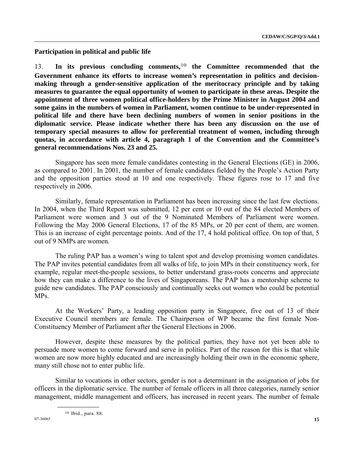**Participation in political and public life** 

13. **In its previous concluding comments,**[10](#page-14-0) **the Committee recommended that the Government enhance its efforts to increase women's representation in politics and decisionmaking through a gender-sensitive application of the meritocracy principle and by taking measures to guarantee the equal opportunity of women to participate in these areas. Despite the appointment of three women political office-holders by the Prime Minister in August 2004 and some gains in the numbers of women in Parliament, women continue to be under-represented in political life and there have been declining numbers of women in senior positions in the diplomatic service. Please indicate whether there has been any discussion on the use of temporary special measures to allow for preferential treatment of women, including through quotas, in accordance with article 4, paragraph 1 of the Convention and the Committee's general recommendations Nos. 23 and 25.**

 Singapore has seen more female candidates contesting in the General Elections (GE) in 2006, as compared to 2001. In 2001, the number of female candidates fielded by the People's Action Party and the opposition parties stood at 10 and one respectively. These figures rose to 17 and five respectively in 2006.

 Similarly, female representation in Parliament has been increasing since the last few elections. In 2004, when the Third Report was submitted, 12 per cent or 10 out of the 84 elected Members of Parliament were women and 3 out of the 9 Nominated Members of Parliament were women. Following the May 2006 General Elections, 17 of the 85 MPs, or 20 per cent of them, are women. This is an increase of eight percentage points. And of the 17, 4 hold political office. On top of that, 5 out of 9 NMPs are women.

 The ruling PAP has a women's wing to talent spot and develop promising women candidates. The PAP invites potential candidates from all walks of life, to join MPs in their constituency work, for example, regular meet-the-people sessions, to better understand grass-roots concerns and appreciate how they can make a difference to the lives of Singaporeans. The PAP has a mentorship scheme to guide new candidates. The PAP consciously and continually seeks out women who could be potential MPs.

 At the Workers' Party, a leading opposition party in Singapore, five out of 13 of their Executive Council members are female. The Chairperson of WP became the first female Non-Constituency Member of Parliament after the General Elections in 2006.

However, despite these measures by the political parties, they have not yet been able to persuade more women to come forward and serve in politics. Part of the reason for this is that while women are now more highly educated and are increasingly holding their own in the economic sphere, many still chose not to enter public life.

<span id="page-14-0"></span> Similar to vocations in other sectors, gender is not a determinant in the assignation of jobs for officers in the diplomatic service. The number of female officers in all three categories, namely senior management, middle management and officers, has increased in recent years. The number of female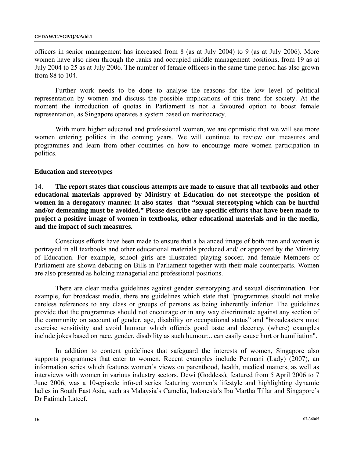officers in senior management has increased from 8 (as at July 2004) to 9 (as at July 2006). More women have also risen through the ranks and occupied middle management positions, from 19 as at July 2004 to 25 as at July 2006. The number of female officers in the same time period has also grown from 88 to 104.

 Further work needs to be done to analyse the reasons for the low level of political representation by women and discuss the possible implications of this trend for society. At the moment the introduction of quotas in Parliament is not a favoured option to boost female representation, as Singapore operates a system based on meritocracy.

 With more higher educated and professional women, we are optimistic that we will see more women entering politics in the coming years. We will continue to review our measures and programmes and learn from other countries on how to encourage more women participation in politics.

#### **Education and stereotypes**

14. **The report states that conscious attempts are made to ensure that all textbooks and other educational materials approved by Ministry of Education do not stereotype the position of women in a derogatory manner. It also states that "sexual stereotyping which can be hurtful and/or demeaning must be avoided." Please describe any specific efforts that have been made to project a positive image of women in textbooks, other educational materials and in the media, and the impact of such measures.** 

 Conscious efforts have been made to ensure that a balanced image of both men and women is portrayed in all textbooks and other educational materials produced and/ or approved by the Ministry of Education. For example, school girls are illustrated playing soccer, and female Members of Parliament are shown debating on Bills in Parliament together with their male counterparts. Women are also presented as holding managerial and professional positions.

 There are clear media guidelines against gender stereotyping and sexual discrimination. For example, for broadcast media, there are guidelines which state that "programmes should not make careless references to any class or groups of persons as being inherently inferior. The guidelines provide that the programmes should not encourage or in any way discriminate against any section of the community on account of gender, age, disability or occupational status" and "broadcasters must exercise sensitivity and avoid humour which offends good taste and decency, (where) examples include jokes based on race, gender, disability as such humour... can easily cause hurt or humiliation".

 In addition to content guidelines that safeguard the interests of women, Singapore also supports programmes that cater to women. Recent examples include Penmani (Lady) (2007), an information series which features women's views on parenthood, health, medical matters, as well as interviews with women in various industry sectors. Dewi (Goddess), featured from 5 April 2006 to 7 June 2006, was a 10-episode info-ed series featuring women's lifestyle and highlighting dynamic ladies in South East Asia, such as Malaysia's Camelia, Indonesia's Ibu Martha Tillar and Singapore's Dr Fatimah Lateef.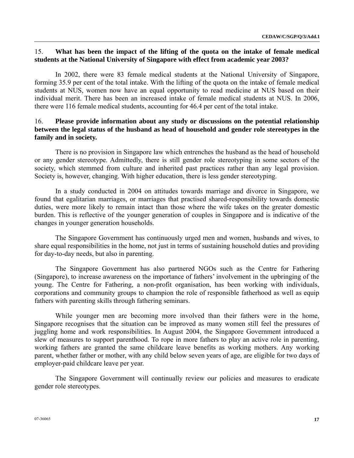## 15. **What has been the impact of the lifting of the quota on the intake of female medical students at the National University of Singapore with effect from academic year 2003?**

 In 2002, there were 83 female medical students at the National University of Singapore, forming 35.9 per cent of the total intake. With the lifting of the quota on the intake of female medical students at NUS, women now have an equal opportunity to read medicine at NUS based on their individual merit. There has been an increased intake of female medical students at NUS. In 2006, there were 116 female medical students, accounting for 46.4 per cent of the total intake.

## 16. **Please provide information about any study or discussions on the potential relationship between the legal status of the husband as head of household and gender role stereotypes in the family and in society.**

 There is no provision in Singapore law which entrenches the husband as the head of household or any gender stereotype. Admittedly, there is still gender role stereotyping in some sectors of the society, which stemmed from culture and inherited past practices rather than any legal provision. Society is, however, changing. With higher education, there is less gender stereotyping.

 In a study conducted in 2004 on attitudes towards marriage and divorce in Singapore, we found that egalitarian marriages, or marriages that practised shared-responsibility towards domestic duties, were more likely to remain intact than those where the wife takes on the greater domestic burden. This is reflective of the younger generation of couples in Singapore and is indicative of the changes in younger generation households.

 The Singapore Government has continuously urged men and women, husbands and wives, to share equal responsibilities in the home, not just in terms of sustaining household duties and providing for day-to-day needs, but also in parenting.

 The Singapore Government has also partnered NGOs such as the Centre for Fathering (Singapore), to increase awareness on the importance of fathers' involvement in the upbringing of the young. The Centre for Fathering, a non-profit organisation, has been working with individuals, corporations and community groups to champion the role of responsible fatherhood as well as equip fathers with parenting skills through fathering seminars.

 While younger men are becoming more involved than their fathers were in the home, Singapore recognises that the situation can be improved as many women still feel the pressures of juggling home and work responsibilities. In August 2004, the Singapore Government introduced a slew of measures to support parenthood. To rope in more fathers to play an active role in parenting, working fathers are granted the same childcare leave benefits as working mothers. Any working parent, whether father or mother, with any child below seven years of age, are eligible for two days of employer-paid childcare leave per year.

 The Singapore Government will continually review our policies and measures to eradicate gender role stereotypes.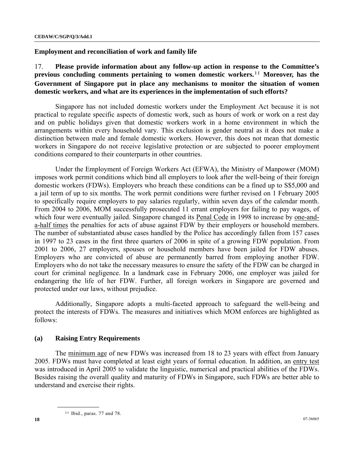**Employment and reconciliation of work and family life** 

17. **Please provide information about any follow-up action in response to the Committee's previous concluding comments pertaining to women domestic workers.**[1](#page-17-0)1 **Moreover, has the Government of Singapore put in place any mechanisms to monitor the situation of women domestic workers, and what are its experiences in the implementation of such efforts?** 

 Singapore has not included domestic workers under the Employment Act because it is not practical to regulate specific aspects of domestic work, such as hours of work or work on a rest day and on public holidays given that domestic workers work in a home environment in which the arrangements within every household vary. This exclusion is gender neutral as it does not make a distinction between male and female domestic workers. However, this does not mean that domestic workers in Singapore do not receive legislative protection or are subjected to poorer employment conditions compared to their counterparts in other countries.

 Under the Employment of Foreign Workers Act (EFWA), the Ministry of Manpower (MOM) imposes work permit conditions which bind all employers to look after the well-being of their foreign domestic workers (FDWs). Employers who breach these conditions can be a fined up to S\$5,000 and a jail term of up to six months. The work permit conditions were further revised on 1 February 2005 to specifically require employers to pay salaries regularly, within seven days of the calendar month. From 2004 to 2006, MOM successfully prosecuted 11 errant employers for failing to pay wages, of which four were eventually jailed. Singapore changed its Penal Code in 1998 to increase by one-anda-half times the penalties for acts of abuse against FDW by their employers or household members. The number of substantiated abuse cases handled by the Police has accordingly fallen from 157 cases in 1997 to 23 cases in the first three quarters of 2006 in spite of a growing FDW population. From 2001 to 2006, 27 employers, spouses or household members have been jailed for FDW abuses. Employers who are convicted of abuse are permanently barred from employing another FDW. Employers who do not take the necessary measures to ensure the safety of the FDW can be charged in court for criminal negligence. In a landmark case in February 2006, one employer was jailed for endangering the life of her FDW. Further, all foreign workers in Singapore are governed and protected under our laws, without prejudice.

 Additionally, Singapore adopts a multi-faceted approach to safeguard the well-being and protect the interests of FDWs. The measures and initiatives which MOM enforces are highlighted as follows:

#### **(a) Raising Entry Requirements**

<span id="page-17-0"></span> The minimum age of new FDWs was increased from 18 to 23 years with effect from January 2005. FDWs must have completed at least eight years of formal education. In addition, an entry test was introduced in April 2005 to validate the linguistic, numerical and practical abilities of the FDWs. Besides raising the overall quality and maturity of FDWs in Singapore, such FDWs are better able to understand and exercise their rights.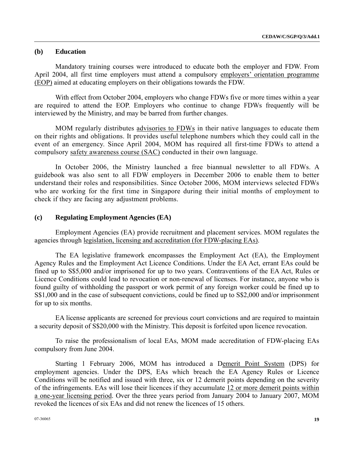## **(b) Education**

 Mandatory training courses were introduced to educate both the employer and FDW. From April 2004, all first time employers must attend a compulsory employers' orientation programme (EOP) aimed at educating employers on their obligations towards the FDW.

 With effect from October 2004, employers who change FDWs five or more times within a year are required to attend the EOP. Employers who continue to change FDWs frequently will be interviewed by the Ministry, and may be barred from further changes.

 MOM regularly distributes advisories to FDWs in their native languages to educate them on their rights and obligations. It provides useful telephone numbers which they could call in the event of an emergency. Since April 2004, MOM has required all first-time FDWs to attend a compulsory safety awareness course (SAC) conducted in their own language.

 In October 2006, the Ministry launched a free biannual newsletter to all FDWs. A guidebook was also sent to all FDW employers in December 2006 to enable them to better understand their roles and responsibilities. Since October 2006, MOM interviews selected FDWs who are working for the first time in Singapore during their initial months of employment to check if they are facing any adjustment problems.

#### **(c) Regulating Employment Agencies (EA)**

 Employment Agencies (EA) provide recruitment and placement services. MOM regulates the agencies through legislation, licensing and accreditation (for FDW-placing EAs).

 The EA legislative framework encompasses the Employment Act (EA), the Employment Agency Rules and the Employment Act Licence Conditions. Under the EA Act, errant EAs could be fined up to S\$5,000 and/or imprisoned for up to two years. Contraventions of the EA Act, Rules or Licence Conditions could lead to revocation or non-renewal of licenses. For instance, anyone who is found guilty of withholding the passport or work permit of any foreign worker could be fined up to S\$1,000 and in the case of subsequent convictions, could be fined up to S\$2,000 and/or imprisonment for up to six months.

 EA license applicants are screened for previous court convictions and are required to maintain a security deposit of S\$20,000 with the Ministry. This deposit is forfeited upon licence revocation.

 To raise the professionalism of local EAs, MOM made accreditation of FDW-placing EAs compulsory from June 2004.

 Starting 1 February 2006, MOM has introduced a Demerit Point System (DPS) for employment agencies. Under the DPS, EAs which breach the EA Agency Rules or Licence Conditions will be notified and issued with three, six or 12 demerit points depending on the severity of the infringements. EAs will lose their licences if they accumulate 12 or more demerit points within a one-year licensing period. Over the three years period from January 2004 to January 2007, MOM revoked the licences of six EAs and did not renew the licences of 15 others.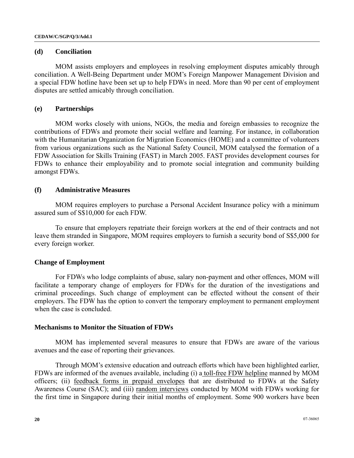#### **(d) Conciliation**

 MOM assists employers and employees in resolving employment disputes amicably through conciliation. A Well-Being Department under MOM's Foreign Manpower Management Division and a special FDW hotline have been set up to help FDWs in need. More than 90 per cent of employment disputes are settled amicably through conciliation.

#### **(e) Partnerships**

 MOM works closely with unions, NGOs, the media and foreign embassies to recognize the contributions of FDWs and promote their social welfare and learning. For instance, in collaboration with the Humanitarian Organization for Migration Economics (HOME) and a committee of volunteers from various organizations such as the National Safety Council, MOM catalysed the formation of a FDW Association for Skills Training (FAST) in March 2005. FAST provides development courses for FDWs to enhance their employability and to promote social integration and community building amongst FDWs.

#### **(f) Administrative Measures**

 MOM requires employers to purchase a Personal Accident Insurance policy with a minimum assured sum of S\$10,000 for each FDW.

 To ensure that employers repatriate their foreign workers at the end of their contracts and not leave them stranded in Singapore, MOM requires employers to furnish a security bond of S\$5,000 for every foreign worker.

### **Change of Employment**

 For FDWs who lodge complaints of abuse, salary non-payment and other offences, MOM will facilitate a temporary change of employers for FDWs for the duration of the investigations and criminal proceedings. Such change of employment can be effected without the consent of their employers. The FDW has the option to convert the temporary employment to permanent employment when the case is concluded.

#### **Mechanisms to Monitor the Situation of FDWs**

 MOM has implemented several measures to ensure that FDWs are aware of the various avenues and the ease of reporting their grievances.

 Through MOM's extensive education and outreach efforts which have been highlighted earlier, FDWs are informed of the avenues available, including (i) a toll-free FDW helpline manned by MOM officers; (ii) feedback forms in prepaid envelopes that are distributed to FDWs at the Safety Awareness Course (SAC); and (iii) random interviews conducted by MOM with FDWs working for the first time in Singapore during their initial months of employment. Some 900 workers have been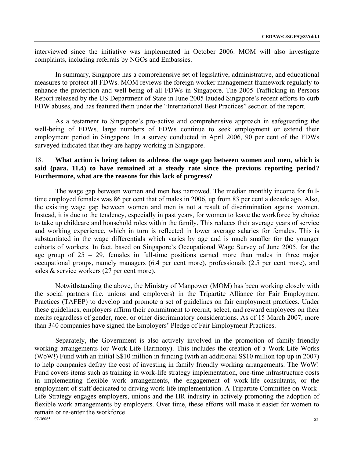interviewed since the initiative was implemented in October 2006. MOM will also investigate complaints, including referrals by NGOs and Embassies.

 In summary, Singapore has a comprehensive set of legislative, administrative, and educational measures to protect all FDWs. MOM reviews the foreign worker management framework regularly to enhance the protection and well-being of all FDWs in Singapore. The 2005 Trafficking in Persons Report released by the US Department of State in June 2005 lauded Singapore's recent efforts to curb FDW abuses, and has featured them under the "International Best Practices" section of the report.

 As a testament to Singapore's pro-active and comprehensive approach in safeguarding the well-being of FDWs, large numbers of FDWs continue to seek employment or extend their employment period in Singapore. In a survey conducted in April 2006, 90 per cent of the FDWs surveyed indicated that they are happy working in Singapore.

## 18. **What action is being taken to address the wage gap between women and men, which is said (para. 11.4) to have remained at a steady rate since the previous reporting period? Furthermore, what are the reasons for this lack of progress?**

 The wage gap between women and men has narrowed. The median monthly income for fulltime employed females was 86 per cent that of males in 2006, up from 83 per cent a decade ago. Also, the existing wage gap between women and men is not a result of discrimination against women. Instead, it is due to the tendency, especially in past years, for women to leave the workforce by choice to take up childcare and household roles within the family. This reduces their average years of service and working experience, which in turn is reflected in lower average salaries for females. This is substantiated in the wage differentials which varies by age and is much smaller for the younger cohorts of workers. In fact, based on Singapore's Occupational Wage Survey of June 2005, for the age group of 25 – 29, females in full-time positions earned more than males in three major occupational groups, namely managers (6.4 per cent more), professionals (2.5 per cent more), and sales & service workers (27 per cent more).

 Notwithstanding the above, the Ministry of Manpower (MOM) has been working closely with the social partners (i.e. unions and employers) in the Tripartite Alliance for Fair Employment Practices (TAFEP) to develop and promote a set of guidelines on fair employment practices. Under these guidelines, employers affirm their commitment to recruit, select, and reward employees on their merits regardless of gender, race, or other discriminatory considerations. As of 15 March 2007, more than 340 companies have signed the Employers' Pledge of Fair Employment Practices.

07-36065 **21**  Separately, the Government is also actively involved in the promotion of family-friendly working arrangements (or Work-Life Harmony). This includes the creation of a Work-Life Works (WoW!) Fund with an initial S\$10 million in funding (with an additional S\$10 million top up in 2007) to help companies defray the cost of investing in family friendly working arrangements. The WoW! Fund covers items such as training in work-life strategy implementation, one-time infrastructure costs in implementing flexible work arrangements, the engagement of work-life consultants, or the employment of staff dedicated to driving work-life implementation. A Tripartite Committee on Work-Life Strategy engages employers, unions and the HR industry in actively promoting the adoption of flexible work arrangements by employers. Over time, these efforts will make it easier for women to remain or re-enter the workforce.<br>07-36065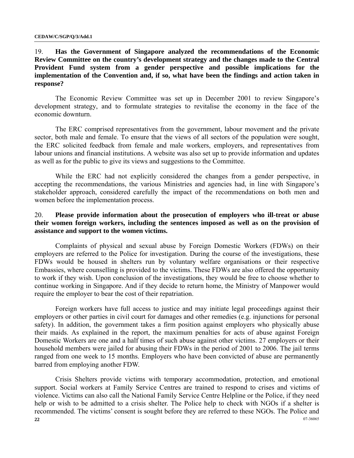## 19. **Has the Government of Singapore analyzed the recommendations of the Economic Review Committee on the country's development strategy and the changes made to the Central Provident Fund system from a gender perspective and possible implications for the implementation of the Convention and, if so, what have been the findings and action taken in response?**

 The Economic Review Committee was set up in December 2001 to review Singapore's development strategy, and to formulate strategies to revitalise the economy in the face of the economic downturn.

 The ERC comprised representatives from the government, labour movement and the private sector, both male and female. To ensure that the views of all sectors of the population were sought, the ERC solicited feedback from female and male workers, employers, and representatives from labour unions and financial institutions. A website was also set up to provide information and updates as well as for the public to give its views and suggestions to the Committee.

 While the ERC had not explicitly considered the changes from a gender perspective, in accepting the recommendations, the various Ministries and agencies had, in line with Singapore's stakeholder approach, considered carefully the impact of the recommendations on both men and women before the implementation process.

## 20. **Please provide information about the prosecution of employers who ill-treat or abuse their women foreign workers, including the sentences imposed as well as on the provision of assistance and support to the women victims.**

 Complaints of physical and sexual abuse by Foreign Domestic Workers (FDWs) on their employers are referred to the Police for investigation. During the course of the investigations, these FDWs would be housed in shelters run by voluntary welfare organisations or their respective Embassies, where counselling is provided to the victims. These FDWs are also offered the opportunity to work if they wish. Upon conclusion of the investigations, they would be free to choose whether to continue working in Singapore. And if they decide to return home, the Ministry of Manpower would require the employer to bear the cost of their repatriation.

 Foreign workers have full access to justice and may initiate legal proceedings against their employers or other parties in civil court for damages and other remedies (e.g. injunctions for personal safety). In addition, the government takes a firm position against employers who physically abuse their maids. As explained in the report, the maximum penalties for acts of abuse against Foreign Domestic Workers are one and a half times of such abuse against other victims. 27 employers or their household members were jailed for abusing their FDWs in the period of 2001 to 2006. The jail terms ranged from one week to 15 months. Employers who have been convicted of abuse are permanently barred from employing another FDW.

**22** 07-36065 Crisis Shelters provide victims with temporary accommodation, protection, and emotional support. Social workers at Family Service Centres are trained to respond to crises and victims of violence. Victims can also call the National Family Service Centre Helpline or the Police, if they need help or wish to be admitted to a crisis shelter. The Police help to check with NGOs if a shelter is recommended. The victims' consent is sought before they are referred to these NGOs. The Police and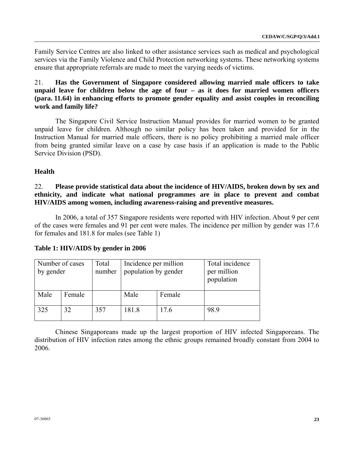Family Service Centres are also linked to other assistance services such as medical and psychological services via the Family Violence and Child Protection networking systems. These networking systems ensure that appropriate referrals are made to meet the varying needs of victims.

21. **Has the Government of Singapore considered allowing married male officers to take unpaid leave for children below the age of four – as it does for married women officers (para. 11.64) in enhancing efforts to promote gender equality and assist couples in reconciling work and family life?**

 The Singapore Civil Service Instruction Manual provides for married women to be granted unpaid leave for children. Although no similar policy has been taken and provided for in the Instruction Manual for married male officers, there is no policy prohibiting a married male officer from being granted similar leave on a case by case basis if an application is made to the Public Service Division (PSD).

## **Health**

22. **Please provide statistical data about the incidence of HIV/AIDS, broken down by sex and ethnicity, and indicate what national programmes are in place to prevent and combat HIV/AIDS among women, including awareness-raising and preventive measures.**

 In 2006, a total of 357 Singapore residents were reported with HIV infection. About 9 per cent of the cases were females and 91 per cent were males. The incidence per million by gender was 17.6 for females and 181.8 for males (see Table 1)

| by gender | Number of cases | Total<br>number | Incidence per million<br>population by gender |        | Total incidence<br>per million<br>population |
|-----------|-----------------|-----------------|-----------------------------------------------|--------|----------------------------------------------|
| Male      | Female          |                 | Male                                          | Female |                                              |
| 325       |                 | 357             | 181.8                                         | 17.6   | 98.9                                         |

### **Table 1: HIV/AIDS by gender in 2006**

 Chinese Singaporeans made up the largest proportion of HIV infected Singaporeans. The distribution of HIV infection rates among the ethnic groups remained broadly constant from 2004 to 2006.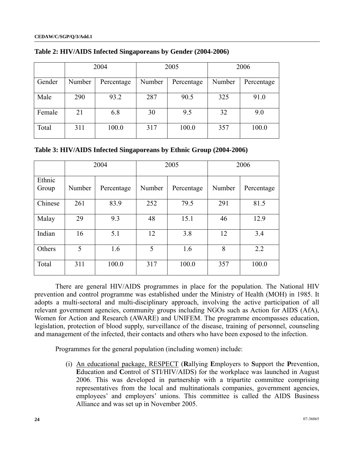|        | 2004   |            | 2005   |            |        | 2006       |
|--------|--------|------------|--------|------------|--------|------------|
| Gender | Number | Percentage | Number | Percentage | Number | Percentage |
| Male   | 290    | 93.2       | 287    | 90.5       | 325    | 91.0       |
| Female | 21     | 6.8        | 30     | 9.5        | 32     | 9.0        |
| Total  | 311    | 100.0      | 317    | 100.0      | 357    | 100.0      |

**Table 2: HIV/AIDS Infected Singaporeans by Gender (2004-2006)** 

| Table 3: HIV/AIDS Infected Singaporeans by Ethnic Group (2004-2006) |  |  |  |  |  |
|---------------------------------------------------------------------|--|--|--|--|--|
|---------------------------------------------------------------------|--|--|--|--|--|

|                 |        | 2004       |        | 2005       |        | 2006       |
|-----------------|--------|------------|--------|------------|--------|------------|
| Ethnic<br>Group | Number | Percentage | Number | Percentage | Number | Percentage |
| Chinese         | 261    | 83.9       | 252    | 79.5       | 291    | 81.5       |
| Malay           | 29     | 9.3        | 48     | 15.1       | 46     | 12.9       |
| Indian          | 16     | 5.1        | 12     | 3.8        | 12     | 3.4        |
| Others          | 5      | 1.6        | 5      | 1.6        | 8      | 2.2        |
| Total           | 311    | 100.0      | 317    | 100.0      | 357    | 100.0      |

 There are general HIV/AIDS programmes in place for the population. The National HIV prevention and control programme was established under the Ministry of Health (MOH) in 1985. It adopts a multi-sectoral and multi-disciplinary approach, involving the active participation of all relevant government agencies, community groups including NGOs such as Action for AIDS (AfA), Women for Action and Research (AWARE) and UNIFEM. The programme encompasses education, legislation, protection of blood supply, surveillance of the disease, training of personnel, counseling and management of the infected, their contacts and others who have been exposed to the infection.

Programmes for the general population (including women) include:

(i) An educational package, RESPECT (**R**allying **E**mployers to **S**upport the **P**revention, **E**ducation and **C**ontrol of STI/HIV/AIDS) for the workplace was launched in August 2006. This was developed in partnership with a tripartite committee comprising representatives from the local and multinationals companies, government agencies, employees' and employers' unions. This committee is called the AIDS Business Alliance and was set up in November 2005.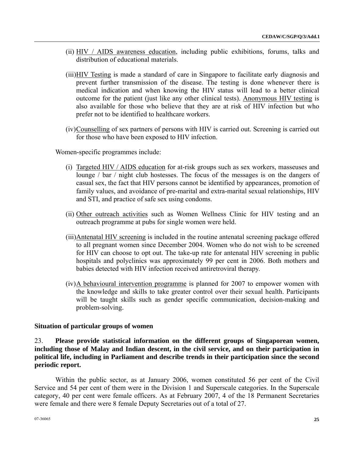- (ii) HIV / AIDS awareness education, including public exhibitions, forums, talks and distribution of educational materials.
- (iii)HIV Testing is made a standard of care in Singapore to facilitate early diagnosis and prevent further transmission of the disease. The testing is done whenever there is medical indication and when knowing the HIV status will lead to a better clinical outcome for the patient (just like any other clinical tests). Anonymous HIV testing is also available for those who believe that they are at risk of HIV infection but who prefer not to be identified to healthcare workers.
- (iv)Counselling of sex partners of persons with HIV is carried out. Screening is carried out for those who have been exposed to HIV infection.

Women-specific programmes include:

- (i) Targeted HIV / AIDS education for at-risk groups such as sex workers, masseuses and lounge / bar / night club hostesses. The focus of the messages is on the dangers of casual sex, the fact that HIV persons cannot be identified by appearances, promotion of family values, and avoidance of pre-marital and extra-marital sexual relationships, HIV and STI, and practice of safe sex using condoms.
- (ii) Other outreach activities such as Women Wellness Clinic for HIV testing and an outreach programme at pubs for single women were held.
- (iii)Antenatal HIV screening is included in the routine antenatal screening package offered to all pregnant women since December 2004. Women who do not wish to be screened for HIV can choose to opt out. The take-up rate for antenatal HIV screening in public hospitals and polyclinics was approximately 99 per cent in 2006. Both mothers and babies detected with HIV infection received antiretroviral therapy.
- (iv)A behavioural intervention programme is planned for 2007 to empower women with the knowledge and skills to take greater control over their sexual health. Participants will be taught skills such as gender specific communication, decision-making and problem-solving.

#### **Situation of particular groups of women**

23. **Please provide statistical information on the different groups of Singaporean women, including those of Malay and Indian descent, in the civil service, and on their participation in political life, including in Parliament and describe trends in their participation since the second periodic report.**

 Within the public sector, as at January 2006, women constituted 56 per cent of the Civil Service and 54 per cent of them were in the Division 1 and Superscale categories. In the Superscale category, 40 per cent were female officers. As at February 2007, 4 of the 18 Permanent Secretaries were female and there were 8 female Deputy Secretaries out of a total of 27.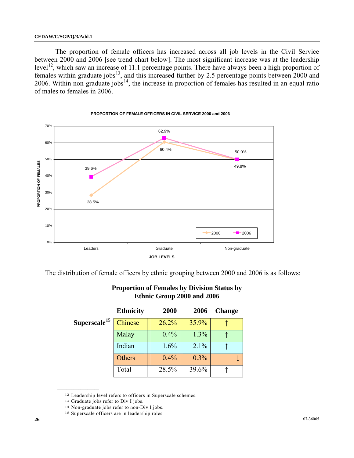The proportion of female officers has increased across all job levels in the Civil Service between 2000 and 2006 [see trend chart below]. The most significant increase was at the leadership level<sup>[12](#page-25-0)</sup>, which saw an increase of 11.1 percentage points. There have always been a high proportion of females within graduate jobs $^{13}$  $^{13}$  $^{13}$ , and this increased further by 2.5 percentage points between 2000 and 2006. Within non-graduate jobs<sup>[1](#page-25-2)4</sup>, the increase in proportion of females has resulted in an equal ratio of males to females in 2006.



**PROPORTION OF FEMALE OFFICERS IN CIVIL SERVICE 2000 and 2006**

The distribution of female officers by ethnic grouping between 2000 and 2006 is as follows:

|                          | <b>Ethnicity</b> | 2000  | 2006  | <b>Change</b> |
|--------------------------|------------------|-------|-------|---------------|
| Superscale <sup>15</sup> | Chinese          | 26.2% | 35.9% |               |
|                          | Malay            | 0.4%  | 1.3%  |               |
|                          | Indian           | 1.6%  | 2.1%  |               |
|                          | Others           | 0.4%  | 0.3%  |               |
|                          | Total            | 28.5% | 39.6% |               |

## **Proportion of Females by Division Status by Ethnic Group 2000 and 2006**

<sup>12</sup> Leadership level refers to officers in Superscale schemes.

<span id="page-25-0"></span><sup>13</sup> Graduate jobs refer to Div I jobs.

<span id="page-25-3"></span><span id="page-25-2"></span><span id="page-25-1"></span>

<sup>&</sup>lt;sup>14</sup> Non-graduate jobs refer to non-Div I jobs.<br><sup>15</sup> Superscale officers are in leadership roles.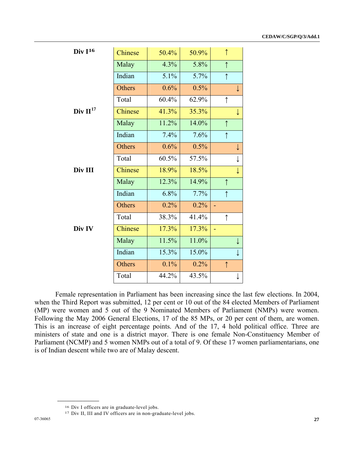| $Div I^{16}$  | Chinese | 50.4% | 50.9% | $\uparrow$ |              |
|---------------|---------|-------|-------|------------|--------------|
|               | Malay   | 4.3%  | 5.8%  | $\uparrow$ |              |
|               | Indian  | 5.1%  | 5.7%  | $\uparrow$ |              |
|               | Others  | 0.6%  | 0.5%  |            | $\downarrow$ |
|               | Total   | 60.4% | 62.9% | $\uparrow$ |              |
| Div $II^{17}$ | Chinese | 41.3% | 35.3% |            | $\downarrow$ |
|               | Malay   | 11.2% | 14.0% | $\uparrow$ |              |
|               | Indian  | 7.4%  | 7.6%  | $\uparrow$ |              |
|               | Others  | 0.6%  | 0.5%  |            | $\downarrow$ |
|               | Total   | 60.5% | 57.5% |            | $\downarrow$ |
| Div III       | Chinese | 18.9% | 18.5% |            | $\downarrow$ |
|               | Malay   | 12.3% | 14.9% | $\uparrow$ |              |
|               | Indian  | 6.8%  | 7.7%  | $\uparrow$ |              |
|               | Others  | 0.2%  | 0.2%  | L          |              |
|               | Total   | 38.3% | 41.4% | $\uparrow$ |              |
| Div IV        | Chinese | 17.3% | 17.3% |            |              |
|               | Malay   | 11.5% | 11.0% |            | $\downarrow$ |
|               | Indian  | 15.3% | 15.0% |            | $\downarrow$ |
|               | Others  | 0.1%  | 0.2%  | $\uparrow$ |              |
|               | Total   | 44.2% | 43.5% |            | ↓            |

 Female representation in Parliament has been increasing since the last few elections. In 2004, when the Third Report was submitted, 12 per cent or 10 out of the 84 elected Members of Parliament (MP) were women and 5 out of the 9 Nominated Members of Parliament (NMPs) were women. Following the May 2006 General Elections, 17 of the 85 MPs, or 20 per cent of them, are women. This is an increase of eight percentage points. And of the 17, 4 hold political office. Three are ministers of state and one is a district mayor. There is one female Non-Constituency Member of Parliament (NCMP) and 5 women NMPs out of a total of 9. Of these 17 women parliamentarians, one is of Indian descent while two are of Malay descent.

<span id="page-26-1"></span><span id="page-26-0"></span>

<sup>16</sup> Div I officers are in graduate-level jobs. 17 Div II, III and IV officers are in non-graduate-level jobs.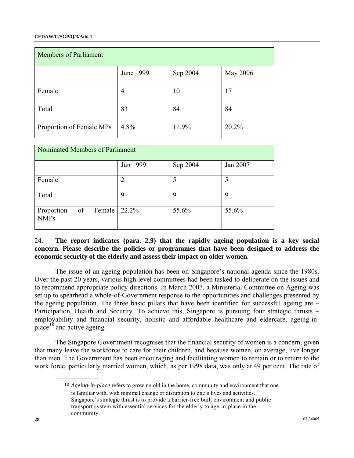#### **CEDAW/C/SGP/Q/3/Add.1**

| <b>Members of Parliament</b> |           |          |          |  |  |
|------------------------------|-----------|----------|----------|--|--|
|                              | June 1999 | Sep 2004 | May 2006 |  |  |
| Female                       | 4         | 10       | 17       |  |  |
| Total                        | 83        | 84       | 84       |  |  |
| Proportion of Female MPs     | 4.8%      | 11.9%    | 20.2%    |  |  |

| Nominated Members of Parliament           |                |             |          |  |  |
|-------------------------------------------|----------------|-------------|----------|--|--|
|                                           | Jun 1999       | Sep 2004    | Jan 2007 |  |  |
| Female                                    | $\overline{2}$ | 5           | 5        |  |  |
| Total                                     | 9              | $\mathbf Q$ | 9        |  |  |
| Proportion<br>Female<br>of<br><b>NMPs</b> | 22.2%          | 55.6%       | 55.6%    |  |  |

## 24. **The report indicates (para. 2.9) that the rapidly ageing population is a key social concern. Please describe the policies or programmes that have been designed to address the economic security of the elderly and assess their impact on older women.**

 The issue of an ageing population has been on Singapore's national agenda since the 1980s. Over the past 20 years, various high level committees had been tasked to deliberate on the issues and to recommend appropriate policy directions. In March 2007, a Ministerial Committee on Ageing was set up to spearhead a whole-of-Government response to the opportunities and challenges presented by the ageing population. The three basic pillars that have been identified for successful ageing are  $-$ Participation, Health and Security. To achieve this, Singapore is pursuing four strategic thrusts – employability and financial security, holistic and affordable healthcare and eldercare, ageing-in-place<sup>[18](#page-27-0)</sup> and active ageing.

<span id="page-27-0"></span> The Singapore Government recognises that the financial security of women is a concern, given that many leave the workforce to care for their children, and because women, on average, live longer than men. The Government has been encouraging and facilitating women to remain or to return to the work force, particularly married women, which, as per 1998 data, was only at 49 per cent. The rate of

<sup>18</sup> *Ageing-in-place* refers to growing old in the home, community and environment that one is familiar with, with minimal change or disruption to one's lives and activities. Singapore's strategic thrust is to provide a barrier-free built environment and public transport system with essential services for the elderly to age-in-place in the community.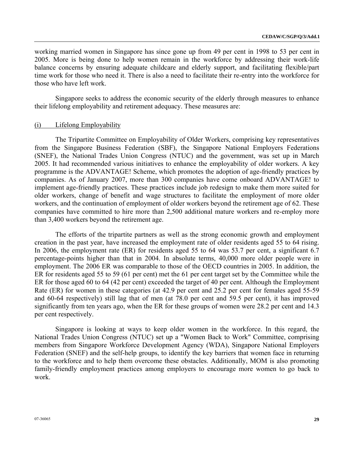working married women in Singapore has since gone up from 49 per cent in 1998 to 53 per cent in 2005. More is being done to help women remain in the workforce by addressing their work-life balance concerns by ensuring adequate childcare and elderly support, and facilitating flexible/part time work for those who need it. There is also a need to facilitate their re-entry into the workforce for those who have left work.

 Singapore seeks to address the economic security of the elderly through measures to enhance their lifelong employability and retirement adequacy. These measures are:

#### (i) Lifelong Employability

 The Tripartite Committee on Employability of Older Workers, comprising key representatives from the Singapore Business Federation (SBF), the Singapore National Employers Federations (SNEF), the National Trades Union Congress (NTUC) and the government, was set up in March 2005. It had recommended various initiatives to enhance the employability of older workers. A key programme is the ADVANTAGE! Scheme, which promotes the adoption of age-friendly practices by companies. As of January 2007, more than 300 companies have come onboard ADVANTAGE! to implement age-friendly practices. These practices include job redesign to make them more suited for older workers, change of benefit and wage structures to facilitate the employment of more older workers, and the continuation of employment of older workers beyond the retirement age of 62. These companies have committed to hire more than 2,500 additional mature workers and re-employ more than 3,400 workers beyond the retirement age.

 The efforts of the tripartite partners as well as the strong economic growth and employment creation in the past year, have increased the employment rate of older residents aged 55 to 64 rising. In 2006, the employment rate (ER) for residents aged 55 to 64 was 53.7 per cent, a significant 6.7 percentage-points higher than that in 2004. In absolute terms, 40,000 more older people were in employment. The 2006 ER was comparable to those of the OECD countries in 2005. In addition, the ER for residents aged 55 to 59 (61 per cent) met the 61 per cent target set by the Committee while the ER for those aged 60 to 64 (42 per cent) exceeded the target of 40 per cent. Although the Employment Rate (ER) for women in these categories (at 42.9 per cent and 25.2 per cent for females aged 55-59 and 60-64 respectively) still lag that of men (at 78.0 per cent and 59.5 per cent), it has improved significantly from ten years ago, when the ER for these groups of women were 28.2 per cent and 14.3 per cent respectively.

 Singapore is looking at ways to keep older women in the workforce. In this regard, the National Trades Union Congress (NTUC) set up a "Women Back to Work" Committee, comprising members from Singapore Workforce Development Agency (WDA), Singapore National Employers Federation (SNEF) and the self-help groups, to identify the key barriers that women face in returning to the workforce and to help them overcome these obstacles. Additionally, MOM is also promoting family-friendly employment practices among employers to encourage more women to go back to work.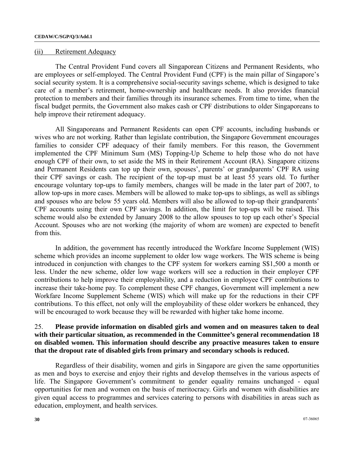#### (ii) Retirement Adequacy

 The Central Provident Fund covers all Singaporean Citizens and Permanent Residents, who are employees or self-employed. The Central Provident Fund (CPF) is the main pillar of Singapore's social security system. It is a comprehensive social-security savings scheme, which is designed to take care of a member's retirement, home-ownership and healthcare needs. It also provides financial protection to members and their families through its insurance schemes. From time to time, when the fiscal budget permits, the Government also makes cash or CPF distributions to older Singaporeans to help improve their retirement adequacy.

 All Singaporeans and Permanent Residents can open CPF accounts, including husbands or wives who are not working. Rather than legislate contribution, the Singapore Government encourages families to consider CPF adequacy of their family members. For this reason, the Government implemented the CPF Minimum Sum (MS) Topping-Up Scheme to help those who do not have enough CPF of their own, to set aside the MS in their Retirement Account (RA). Singapore citizens and Permanent Residents can top up their own, spouses', parents' or grandparents' CPF RA using their CPF savings or cash. The recipient of the top-up must be at least 55 years old. To further encourage voluntary top-ups to family members, changes will be made in the later part of 2007, to allow top-ups in more cases. Members will be allowed to make top-ups to siblings, as well as siblings and spouses who are below 55 years old. Members will also be allowed to top-up their grandparents' CPF accounts using their own CPF savings. In addition, the limit for top-ups will be raised. This scheme would also be extended by January 2008 to the allow spouses to top up each other's Special Account. Spouses who are not working (the majority of whom are women) are expected to benefit from this.

 In addition, the government has recently introduced the Workfare Income Supplement (WIS) scheme which provides an income supplement to older low wage workers. The WIS scheme is being introduced in conjunction with changes to the CPF system for workers earning S\$1,500 a month or less. Under the new scheme, older low wage workers will see a reduction in their employer CPF contributions to help improve their employability, and a reduction in employee CPF contributions to increase their take-home pay. To complement these CPF changes, Government will implement a new Workfare Income Supplement Scheme (WIS) which will make up for the reductions in their CPF contributions. To this effect, not only will the employability of these older workers be enhanced, they will be encouraged to work because they will be rewarded with higher take home income.

## 25. **Please provide information on disabled girls and women and on measures taken to deal with their particular situation, as recommended in the Committee's general recommendation 18 on disabled women. This information should describe any proactive measures taken to ensure that the dropout rate of disabled girls from primary and secondary schools is reduced.**

 Regardless of their disability, women and girls in Singapore are given the same opportunities as men and boys to exercise and enjoy their rights and develop themselves in the various aspects of life. The Singapore Government's commitment to gender equality remains unchanged - equal opportunities for men and women on the basis of meritocracy. Girls and women with disabilities are given equal access to programmes and services catering to persons with disabilities in areas such as education, employment, and health services.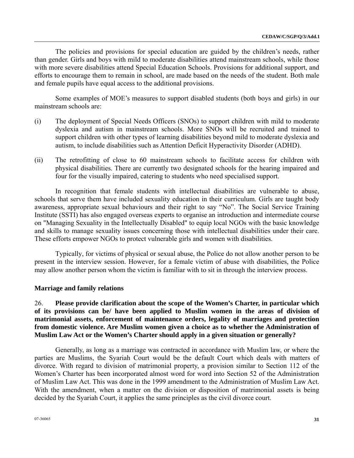The policies and provisions for special education are guided by the children's needs, rather than gender. Girls and boys with mild to moderate disabilities attend mainstream schools, while those with more severe disabilities attend Special Education Schools. Provisions for additional support, and efforts to encourage them to remain in school, are made based on the needs of the student. Both male and female pupils have equal access to the additional provisions.

 Some examples of MOE's measures to support disabled students (both boys and girls) in our mainstream schools are:

- (i) The deployment of Special Needs Officers (SNOs) to support children with mild to moderate dyslexia and autism in mainstream schools. More SNOs will be recruited and trained to support children with other types of learning disabilities beyond mild to moderate dyslexia and autism, to include disabilities such as Attention Deficit Hyperactivity Disorder (ADHD).
- (ii) The retrofitting of close to 60 mainstream schools to facilitate access for children with physical disabilities. There are currently two designated schools for the hearing impaired and four for the visually impaired, catering to students who need specialised support.

 In recognition that female students with intellectual disabilities are vulnerable to abuse, schools that serve them have included sexuality education in their curriculum. Girls are taught body awareness, appropriate sexual behaviours and their right to say "No". The Social Service Training Institute (SSTI) has also engaged overseas experts to organise an introduction and intermediate course on "Managing Sexuality in the Intellectually Disabled" to equip local NGOs with the basic knowledge and skills to manage sexuality issues concerning those with intellectual disabilities under their care. These efforts empower NGOs to protect vulnerable girls and women with disabilities.

 Typically, for victims of physical or sexual abuse, the Police do not allow another person to be present in the interview session. However, for a female victim of abuse with disabilities, the Police may allow another person whom the victim is familiar with to sit in through the interview process.

### **Marriage and family relations**

26. **Please provide clarification about the scope of the Women's Charter, in particular which of its provisions can be/ have been applied to Muslim women in the areas of division of matrimonial assets, enforcement of maintenance orders, legality of marriages and protection from domestic violence. Are Muslim women given a choice as to whether the Administration of Muslim Law Act or the Women's Charter should apply in a given situation or generally?**

 Generally, as long as a marriage was contracted in accordance with Muslim law, or where the parties are Muslims, the Syariah Court would be the default Court which deals with matters of divorce. With regard to division of matrimonial property, a provision similar to Section 112 of the Women's Charter has been incorporated almost word for word into Section 52 of the Administration of Muslim Law Act. This was done in the 1999 amendment to the Administration of Muslim Law Act. With the amendment, when a matter on the division or disposition of matrimonial assets is being decided by the Syariah Court, it applies the same principles as the civil divorce court.